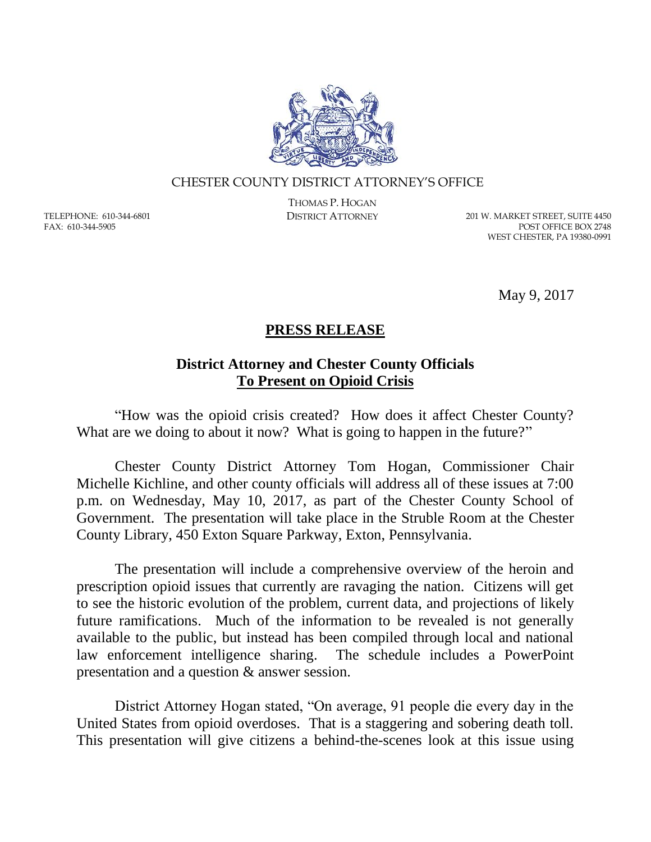

## CHESTER COUNTY DISTRICT ATTORNEY'S OFFICE

TELEPHONE: 610-344-6801 FAX: 610-344-5905

THOMAS P. HOGAN

DISTRICT ATTORNEY 201 W. MARKET STREET, SUITE 4450 POST OFFICE BOX 2748 WEST CHESTER, PA 19380-0991

May 9, 2017

## **PRESS RELEASE**

## **District Attorney and Chester County Officials To Present on Opioid Crisis**

"How was the opioid crisis created? How does it affect Chester County? What are we doing to about it now? What is going to happen in the future?"

Chester County District Attorney Tom Hogan, Commissioner Chair Michelle Kichline, and other county officials will address all of these issues at 7:00 p.m. on Wednesday, May 10, 2017, as part of the Chester County School of Government. The presentation will take place in the Struble Room at the Chester County Library, 450 Exton Square Parkway, Exton, Pennsylvania.

The presentation will include a comprehensive overview of the heroin and prescription opioid issues that currently are ravaging the nation. Citizens will get to see the historic evolution of the problem, current data, and projections of likely future ramifications. Much of the information to be revealed is not generally available to the public, but instead has been compiled through local and national law enforcement intelligence sharing. The schedule includes a PowerPoint presentation and a question & answer session.

District Attorney Hogan stated, "On average, 91 people die every day in the United States from opioid overdoses. That is a staggering and sobering death toll. This presentation will give citizens a behind-the-scenes look at this issue using